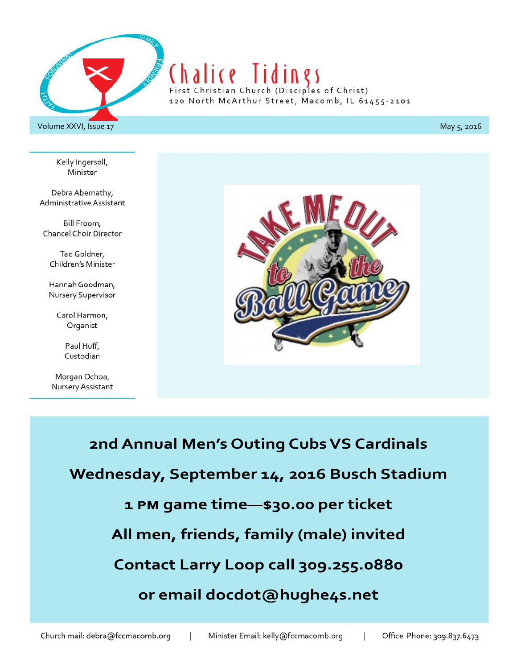

May 5, 2016

Kelly Ingersoll, Minister

Debra Abernathy, Administrative Assistant

Bill Froom, Chancel Choir Director

Tad Goldner, Children's Minister

Hannah Goodman, **Nursery Supervisor** 

Carol Harmon, Organist

> Paul Huff, Custodian

Morgan Ochoa, Nursery Assistant



2nd Annual Men's Outing Cubs VS Cardinals Wednesday, September 14, 2016 Busch Stadium 1 PM game time-\$30.00 per ticket All men, friends, family (male) invited Contact Larry Loop call 309.255.0880 or email docdot@hughe4s.net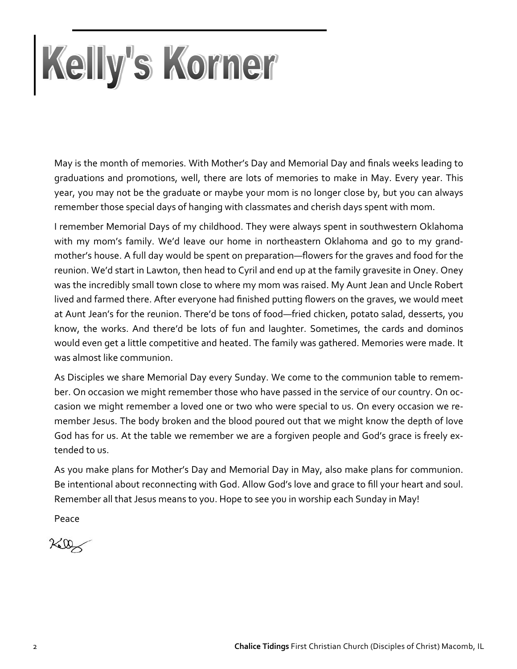# Kelly's Korner

May is the month of memories. With Mother's Day and Memorial Day and finals weeks leading to graduations and promotions, well, there are lots of memories to make in May. Every year. This year, you may not be the graduate or maybe your mom is no longer close by, but you can always remember those special days of hanging with classmates and cherish days spent with mom.

I remember Memorial Days of my childhood. They were always spent in southwestern Oklahoma with my mom's family. We'd leave our home in northeastern Oklahoma and go to my grandmother's house. A full day would be spent on preparation—flowers for the graves and food for the reunion. We'd start in Lawton, then head to Cyril and end up at the family gravesite in Oney. Oney was the incredibly small town close to where my mom was raised. My Aunt Jean and Uncle Robert lived and farmed there. After everyone had finished putting flowers on the graves, we would meet at Aunt Jean's for the reunion. There'd be tons of food—fried chicken, potato salad, desserts, you know, the works. And there'd be lots of fun and laughter. Sometimes, the cards and dominos would even get a little competitive and heated. The family was gathered. Memories were made. It was almost like communion.

As Disciples we share Memorial Day every Sunday. We come to the communion table to remember. On occasion we might remember those who have passed in the service of our country. On occasion we might remember a loved one or two who were special to us. On every occasion we remember Jesus. The body broken and the blood poured out that we might know the depth of love God has for us. At the table we remember we are a forgiven people and God's grace is freely extended to us.

As you make plans for Mother's Day and Memorial Day in May, also make plans for communion. Be intentional about reconnecting with God. Allow God's love and grace to fill your heart and soul. Remember all that Jesus means to you. Hope to see you in worship each Sunday in May!

Peace

 $760$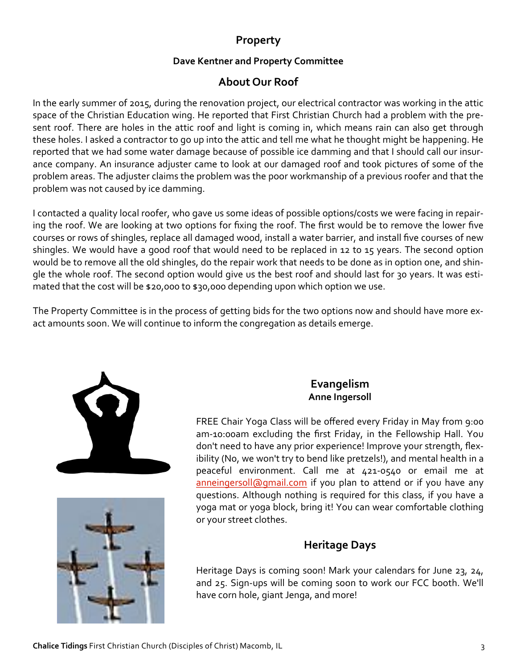#### **Property**

#### **Dave Kentner and Property Committee**

#### **About Our Roof**

In the early summer of 2015, during the renovation project, our electrical contractor was working in the attic space of the Christian Education wing. He reported that First Christian Church had a problem with the present roof. There are holes in the attic roof and light is coming in, which means rain can also get through these holes. I asked a contractor to go up into the attic and tell me what he thought might be happening. He reported that we had some water damage because of possible ice damming and that I should call our insurance company. An insurance adjuster came to look at our damaged roof and took pictures of some of the problem areas. The adjuster claims the problem was the poor workmanship of a previous roofer and that the problem was not caused by ice damming.

I contacted a quality local roofer, who gave us some ideas of possible options/costs we were facing in repairing the roof. We are looking at two options for fixing the roof. The first would be to remove the lower five courses or rows of shingles, replace all damaged wood, install a water barrier, and install five courses of new shingles. We would have a good roof that would need to be replaced in 12 to 15 years. The second option would be to remove all the old shingles, do the repair work that needs to be done as in option one, and shingle the whole roof. The second option would give us the best roof and should last for 30 years. It was estimated that the cost will be \$20,000 to \$30,000 depending upon which option we use.

The Property Committee is in the process of getting bids for the two options now and should have more exact amounts soon. We will continue to inform the congregation as details emerge.





#### **Evangelism Anne Ingersoll**

FREE Chair Yoga Class will be offered every Friday in May from 9:00 am-10:00am excluding the first Friday, in the Fellowship Hall. You don't need to have any prior experience! Improve your strength, flexibility (No, we won't try to bend like pretzels!), and mental health in a peaceful environment. Call me at 421-0540 or email me at [anneingersoll@gmail.com](mailto:anneingersoll@gmail.com) if you plan to attend or if you have any questions. Although nothing is required for this class, if you have a yoga mat or yoga block, bring it! You can wear comfortable clothing or your street clothes.

#### **Heritage Days**

Heritage Days is coming soon! Mark your calendars for June 23, 24, and 25. Sign-ups will be coming soon to work our FCC booth. We'll have corn hole, giant Jenga, and more!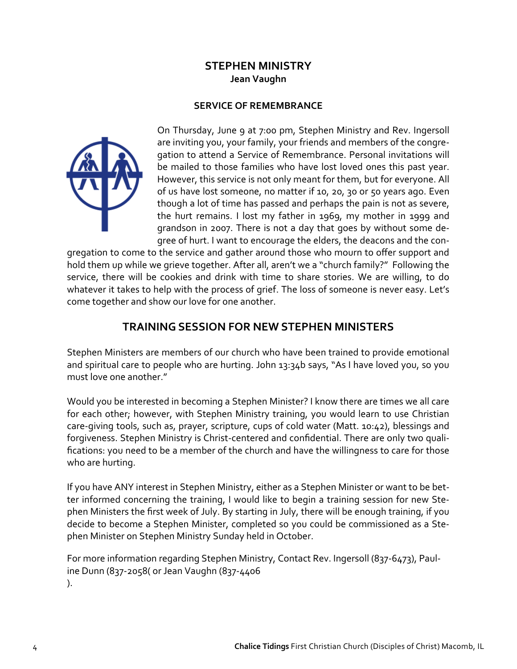#### **STEPHEN MINISTRY Jean Vaughn**

#### **SERVICE OF REMEMBRANCE**



On Thursday, June 9 at 7:00 pm, Stephen Ministry and Rev. Ingersoll are inviting you, your family, your friends and members of the congregation to attend a Service of Remembrance. Personal invitations will be mailed to those families who have lost loved ones this past year. However, this service is not only meant for them, but for everyone. All of us have lost someone, no matter if 10, 20, 30 or 50 years ago. Even though a lot of time has passed and perhaps the pain is not as severe, the hurt remains. I lost my father in 1969, my mother in 1999 and grandson in 2007. There is not a day that goes by without some degree of hurt. I want to encourage the elders, the deacons and the con-

gregation to come to the service and gather around those who mourn to offer support and hold them up while we grieve together. After all, aren't we a "church family?" Following the service, there will be cookies and drink with time to share stories. We are willing, to do whatever it takes to help with the process of grief. The loss of someone is never easy. Let's come together and show our love for one another.

#### **TRAINING SESSION FOR NEW STEPHEN MINISTERS**

Stephen Ministers are members of our church who have been trained to provide emotional and spiritual care to people who are hurting. John 13:34b says, "As I have loved you, so you must love one another."

Would you be interested in becoming a Stephen Minister? I know there are times we all care for each other; however, with Stephen Ministry training, you would learn to use Christian care-giving tools, such as, prayer, scripture, cups of cold water (Matt. 10:42), blessings and forgiveness. Stephen Ministry is Christ-centered and confidential. There are only two qualifications: you need to be a member of the church and have the willingness to care for those who are hurting.

If you have ANY interest in Stephen Ministry, either as a Stephen Minister or want to be better informed concerning the training, I would like to begin a training session for new Stephen Ministers the first week of July. By starting in July, there will be enough training, if you decide to become a Stephen Minister, completed so you could be commissioned as a Stephen Minister on Stephen Ministry Sunday held in October.

For more information regarding Stephen Ministry, Contact Rev. Ingersoll (837-6473), Pauline Dunn (837-2058( or Jean Vaughn (837-4406 ).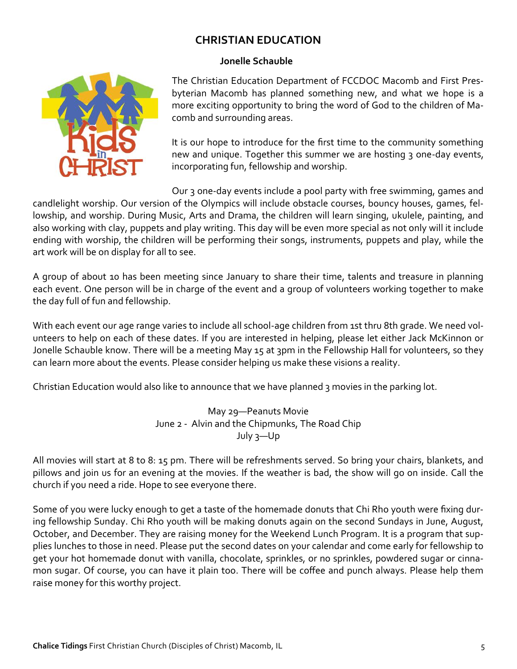### **CHRISTIAN EDUCATION**

#### **Jonelle Schauble**



The Christian Education Department of FCCDOC Macomb and First Presbyterian Macomb has planned something new, and what we hope is a more exciting opportunity to bring the word of God to the children of Macomb and surrounding areas.

It is our hope to introduce for the first time to the community something new and unique. Together this summer we are hosting 3 one-day events, incorporating fun, fellowship and worship.

Our 3 one-day events include a pool party with free swimming, games and

candlelight worship. Our version of the Olympics will include obstacle courses, bouncy houses, games, fellowship, and worship. During Music, Arts and Drama, the children will learn singing, ukulele, painting, and also working with clay, puppets and play writing. This day will be even more special as not only will it include ending with worship, the children will be performing their songs, instruments, puppets and play, while the art work will be on display for all to see.

A group of about 10 has been meeting since January to share their time, talents and treasure in planning each event. One person will be in charge of the event and a group of volunteers working together to make the day full of fun and fellowship.

With each event our age range varies to include all school-age children from 1st thru 8th grade. We need volunteers to help on each of these dates. If you are interested in helping, please let either Jack McKinnon or Jonelle Schauble know. There will be a meeting May 15 at 3pm in the Fellowship Hall for volunteers, so they can learn more about the events. Please consider helping us make these visions a reality.

Christian Education would also like to announce that we have planned 3 movies in the parking lot.

May 29—Peanuts Movie June 2 - Alvin and the Chipmunks, The Road Chip July 3—Up

All movies will start at 8 to 8: 15 pm. There will be refreshments served. So bring your chairs, blankets, and pillows and join us for an evening at the movies. If the weather is bad, the show will go on inside. Call the church if you need a ride. Hope to see everyone there.

Some of you were lucky enough to get a taste of the homemade donuts that Chi Rho youth were fixing during fellowship Sunday. Chi Rho youth will be making donuts again on the second Sundays in June, August, October, and December. They are raising money for the Weekend Lunch Program. It is a program that supplies lunches to those in need. Please put the second dates on your calendar and come early for fellowship to get your hot homemade donut with vanilla, chocolate, sprinkles, or no sprinkles, powdered sugar or cinnamon sugar. Of course, you can have it plain too. There will be coffee and punch always. Please help them raise money for this worthy project.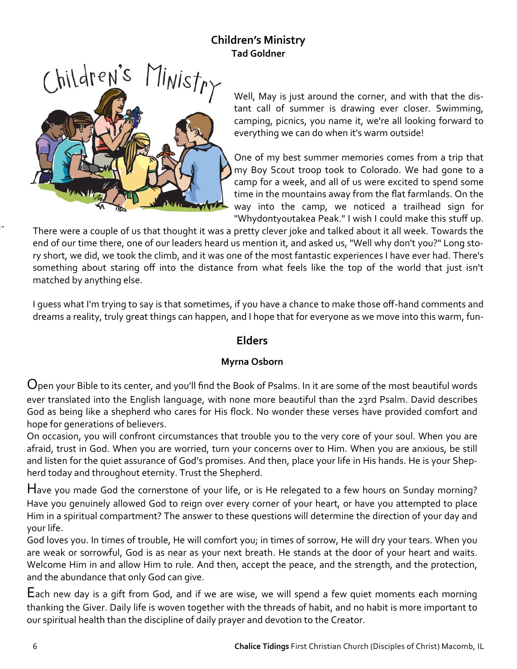#### **Children's Ministry Tad Goldner**



Well, May is just around the corner, and with that the distant call of summer is drawing ever closer. Swimming, camping, picnics, you name it, we're all looking forward to everything we can do when it's warm outside!

One of my best summer memories comes from a trip that my Boy Scout troop took to Colorado. We had gone to a camp for a week, and all of us were excited to spend some time in the mountains away from the flat farmlands. On the way into the camp, we noticed a trailhead sign for "Whydontyoutakea Peak." I wish I could make this stuff up.

There were a couple of us that thought it was a pretty clever joke and talked about it all week. Towards the end of our time there, one of our leaders heard us mention it, and asked us, "Well why don't you?" Long story short, we did, we took the climb, and it was one of the most fantastic experiences I have ever had. There's something about staring off into the distance from what feels like the top of the world that just isn't matched by anything else.

I guess what I'm trying to say is that sometimes, if you have a chance to make those off-hand comments and dreams a reality, truly great things can happen, and I hope that for everyone as we move into this warm, fun-

#### **Elders**

#### **Myrna Osborn**

 $O$ pen your Bible to its center, and you'll find the Book of Psalms. In it are some of the most beautiful words ever translated into the English language, with none more beautiful than the 23rd Psalm. David describes God as being like a shepherd who cares for His flock. No wonder these verses have provided comfort and hope for generations of believers.

On occasion, you will confront circumstances that trouble you to the very core of your soul. When you are afraid, trust in God. When you are worried, turn your concerns over to Him. When you are anxious, be still and listen for the quiet assurance of God's promises. And then, place your life in His hands. He is your Shepherd today and throughout eternity. Trust the Shepherd.

Have you made God the cornerstone of your life, or is He relegated to a few hours on Sunday morning? Have you genuinely allowed God to reign over every corner of your heart, or have you attempted to place Him in a spiritual compartment? The answer to these questions will determine the direction of your day and your life.

God loves you. In times of trouble, He will comfort you; in times of sorrow, He will dry your tears. When you are weak or sorrowful, God is as near as your next breath. He stands at the door of your heart and waits. Welcome Him in and allow Him to rule. And then, accept the peace, and the strength, and the protection, and the abundance that only God can give.

Each new day is a gift from God, and if we are wise, we will spend a few quiet moments each morning thanking the Giver. Daily life is woven together with the threads of habit, and no habit is more important to our spiritual health than the discipline of daily prayer and devotion to the Creator.

 $\ddot{\phantom{a}}$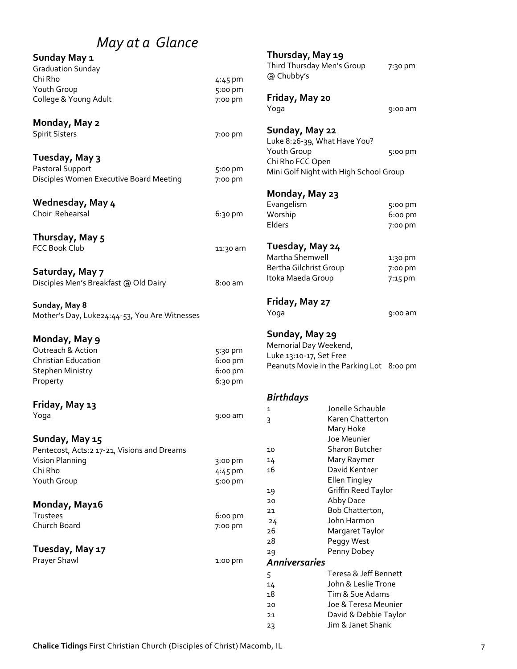## *May at a Glance*

| Sunday May 1<br><b>Graduation Sunday</b><br>Chi Rho |           | Thursday, May 19<br>Third Thursday Men's Gr<br>@ Chubby's |                    |
|-----------------------------------------------------|-----------|-----------------------------------------------------------|--------------------|
| Youth Group                                         | 4:45 pm   |                                                           |                    |
| College & Young Adult                               | 5:00 pm   | Friday, May 20                                            |                    |
|                                                     | 7:00 pm   | Yoga                                                      |                    |
| Monday, May 2<br><b>Spirit Sisters</b>              | 7:00 pm   | Sunday, May 22                                            |                    |
|                                                     |           | Luke 8:26-39, What Have                                   |                    |
|                                                     |           | Youth Group                                               |                    |
| Tuesday, May 3                                      |           | Chi Rho FCC Open                                          |                    |
| Pastoral Support                                    | 5:00 pm   | Mini Golf Night with Higl                                 |                    |
| Disciples Women Executive Board Meeting             | 7:00 pm   |                                                           |                    |
|                                                     |           | Monday, May 23                                            |                    |
| Wednesday, May 4                                    |           | Evangelism                                                |                    |
| Choir Rehearsal                                     | 6:30 pm   | Worship<br>Elders                                         |                    |
| Thursday, May 5                                     |           |                                                           |                    |
| <b>FCC Book Club</b>                                | 11:30 am  | Tuesday, May 24                                           |                    |
|                                                     |           | Martha Shemwell                                           |                    |
| Saturday, May 7                                     |           | Bertha Gilchrist Group                                    |                    |
| Disciples Men's Breakfast @ Old Dairy               | $8:00$ am | Itoka Maeda Group                                         |                    |
|                                                     |           |                                                           |                    |
| Sunday, May 8                                       |           | Friday, May 27                                            |                    |
| Mother's Day, Luke24:44-53, You Are Witnesses       |           | Yoga                                                      |                    |
|                                                     |           | Sunday, May 29                                            |                    |
| Monday, May 9                                       |           | Memorial Day Weekend,                                     |                    |
| Outreach & Action                                   | 5:30 pm   | Luke 13:10-17, Set Free                                   |                    |
| Christian Education                                 | 6:00 pm   | Peanuts Movie in the Par                                  |                    |
| <b>Stephen Ministry</b>                             | 6:00 pm   |                                                           |                    |
| Property                                            | 6:30 pm   |                                                           |                    |
|                                                     |           | <b>Birthdays</b>                                          |                    |
| Friday, May 13                                      |           | 1                                                         | Jonelle            |
| Yoga                                                | 9:00 am   | 3                                                         | Karen (            |
|                                                     |           |                                                           | Mary H             |
| Sunday, May 15                                      |           |                                                           | Joe Me             |
| Pentecost, Acts:2 17-21, Visions and Dreams         |           | 10                                                        | Sharon             |
| Vision Planning                                     | 3:00 pm   | 14                                                        | Mary R             |
| Chi Rho                                             | 4:45 pm   | 16                                                        | David k            |
| Youth Group                                         | 5:00 pm   |                                                           | Ellen Ti           |
|                                                     |           | 19                                                        | Griffin I          |
| Monday, May16                                       |           | 20                                                        | Abby D             |
| Trustees                                            | 6:00 pm   | 21                                                        | Bob Ch             |
| Church Board                                        | 7:00 pm   | 24                                                        | John Ha            |
|                                                     |           | 26                                                        | Margar             |
|                                                     |           | 28                                                        | Peggy'             |
| Tuesday, May 17<br>Prayer Shawl                     | $1:00$ pm | 29                                                        | Penny I            |
|                                                     |           | <b>Anniversaries</b>                                      |                    |
|                                                     |           | 5                                                         | Teresa             |
|                                                     |           | 14                                                        | John &             |
|                                                     |           | 18<br>20                                                  | Tim & S<br>Joe & T |
|                                                     |           |                                                           |                    |

Third Theory Theory Space 9:00 am e You? 5:00 pm h School Group 5:00 pm 6:00 pm 7:00 pm 1:30 pm 7:00 pm 7:15 pm 9:00 am Memorial Day Weekend, king Lot 8:00 pm Schauble Chatterton loke unier Butcher aymer! Kentner ingley Reed Taylor ace atterton, armon ret Taylor West Dobey

| 5  | Teresa & Jeff Bennett |
|----|-----------------------|
| 14 | John & Leslie Trone   |
| 18 | Tim & Sue Adams       |
| 20 | Joe & Teresa Meunier  |
| 21 | David & Debbie Taylor |
| 23 | Jim & Janet Shank     |